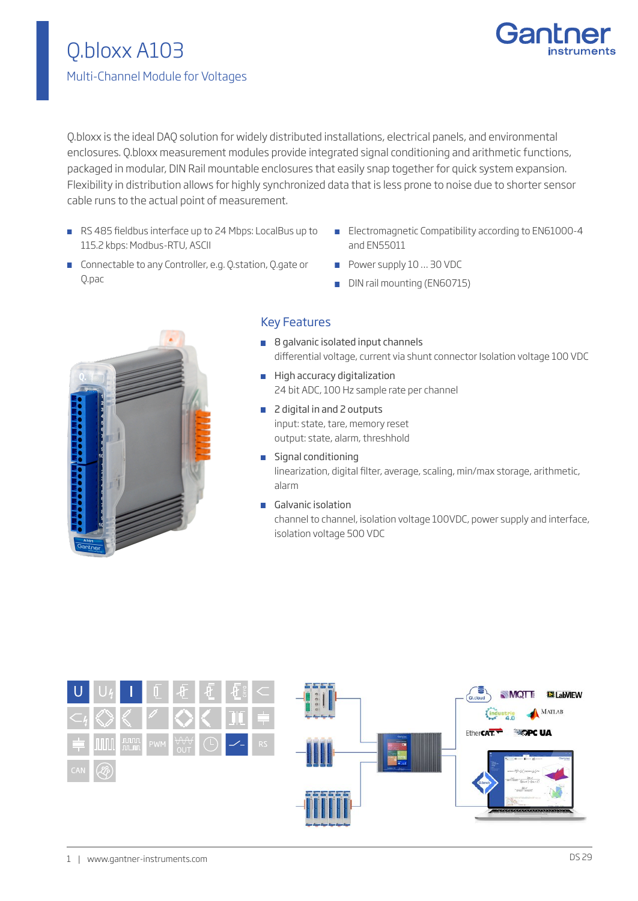

Q.bloxx is the ideal DAQ solution for widely distributed installations, electrical panels, and environmental enclosures. Q.bloxx measurement modules provide integrated signal conditioning and arithmetic functions, packaged in modular, DIN Rail mountable enclosures that easily snap together for quick system expansion. Flexibility in distribution allows for highly synchronized data that is less prone to noise due to shorter sensor cable runs to the actual point of measurement.

- RS 485 fieldbus interface up to 24 Mbps: LocalBus up to 115.2 kbps: Modbus-RTU, ASCII
- **Electromagnetic Compatibility according to EN61000-4** and EN55011
- **Connectable to any Controller, e.g. Q.station, Q.gate or** Q.pac
- Power supply 10 ... 30 VDC
- DIN rail mounting (EN60715)



# Key Features

- 8 galvanic isolated input channels differential voltage, current via shunt connector Isolation voltage 100 VDC
- **High accuracy digitalization** 24 bit ADC, 100 Hz sample rate per channel
- 2 digital in and 2 outputs input: state, tare, memory reset output: state, alarm, threshhold
- Signal conditioning linearization, digital filter, average, scaling, min/max storage, arithmetic, alarm
- Galvanic isolation channel to channel, isolation voltage 100VDC, power supply and interface, isolation voltage 500 VDC

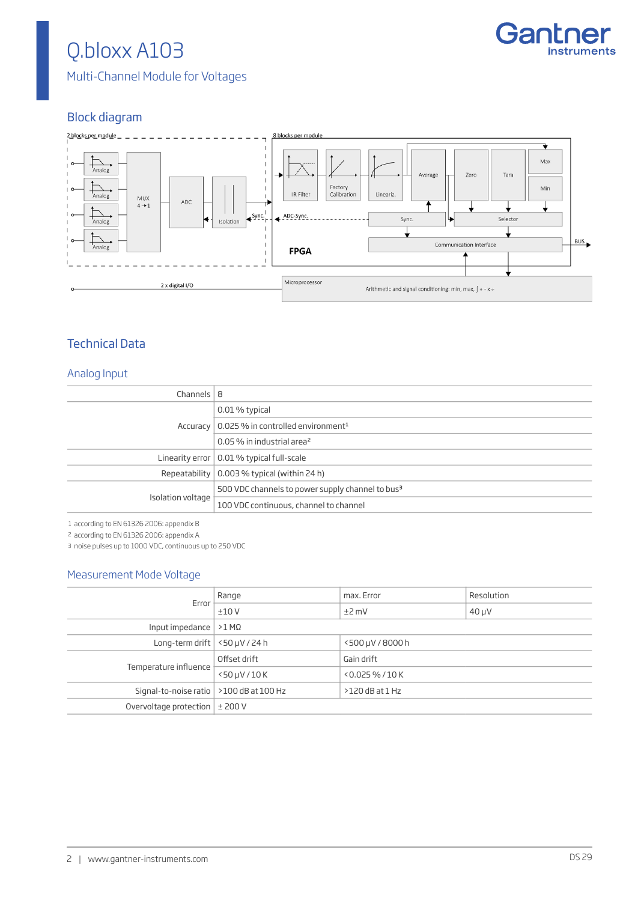# Q.bloxx A103



Multi-Channel Module for Voltages

# Block diagram



# Technical Data

#### Analog Input

| Channels $ 8$     |                                                              |
|-------------------|--------------------------------------------------------------|
|                   | 0.01 % typical                                               |
|                   | Accuracy   $0.025$ % in controlled environment <sup>1</sup>  |
|                   | 0.05 % in industrial area <sup>2</sup>                       |
|                   | Linearity error $\vert$ 0.01 % typical full-scale            |
|                   | Repeatability $\vert$ 0.003 % typical (within 24 h)          |
| Isolation voltage | 500 VDC channels to power supply channel to bus <sup>3</sup> |
|                   | 100 VDC continuous, channel to channel                       |

1 according to EN 61326 2006: appendix B

2 according to EN 61326 2006: appendix A

3 noise pulses up to 1000 VDC, continuous up to 250 VDC

### Measurement Mode Voltage

| Error                                     | Range                 | max. Error          | Resolution |
|-------------------------------------------|-----------------------|---------------------|------------|
|                                           | ±10V                  | $±2$ mV             | $40 \mu V$ |
| Input impedance $  > 1$ M $\Omega$        |                       |                     |            |
| Long-term drift $ $ <50 $\mu$ V / 24 h    |                       | <500 µV / 8000 h    |            |
| Temperature influence                     | Offset drift          | Gain drift          |            |
|                                           | $<$ 50 $\mu$ V / 10 K | $< 0.025 \% / 10 K$ |            |
| Signal-to-noise ratio   >100 dB at 100 Hz |                       | $>120$ dB at $1$ Hz |            |
| Overvoltage protection $\pm$ 200 V        |                       |                     |            |
|                                           |                       |                     |            |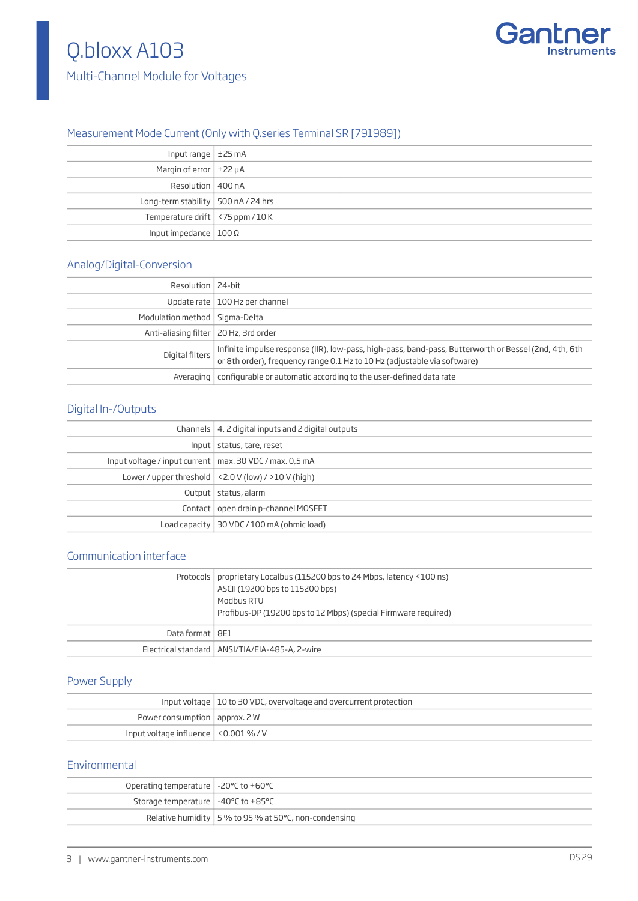# Q.bloxx A103





# Measurement Mode Current (Only with Q.series Terminal SR [791989])

| Input range $\pm$ 25 mA                     |  |
|---------------------------------------------|--|
| Margin of error $\pm$ 22 $\mu$ A            |  |
| Resolution   400 nA                         |  |
| Long-term stability $\vert$ 500 nA / 24 hrs |  |
| Temperature drift $\vert$ <75 ppm / 10 K    |  |
| Input impedance $ 100 \Omega$               |  |

#### Analog/Digital-Conversion

| Resolution   24-bit                     |                                                                                                                                                                                   |
|-----------------------------------------|-----------------------------------------------------------------------------------------------------------------------------------------------------------------------------------|
|                                         | Update rate   100 Hz per channel                                                                                                                                                  |
| Modulation method   Sigma-Delta         |                                                                                                                                                                                   |
| Anti-aliasing filter   20 Hz, 3rd order |                                                                                                                                                                                   |
| Digital filters                         | Infinite impulse response (IIR), low-pass, high-pass, band-pass, Butterworth or Bessel (2nd, 4th, 6th<br>or 8th order), frequency range 0.1 Hz to 10 Hz (adjustable via software) |
|                                         | Averaging   configurable or automatic according to the user-defined data rate                                                                                                     |

# Digital In-/Outputs

|                                                           | Channels   4, 2 digital inputs and 2 digital outputs      |
|-----------------------------------------------------------|-----------------------------------------------------------|
|                                                           | Input   status, tare, reset                               |
| Input voltage / input current   max. 30 VDC / max. 0,5 mA |                                                           |
|                                                           | Lower / upper threshold $ $ < 2.0 V (low) / > 10 V (high) |
|                                                           | Output   status, alarm                                    |
|                                                           | Contact   open drain p-channel MOSFET                     |
|                                                           | Load capacity   30 VDC / 100 mA (ohmic load)              |
|                                                           |                                                           |

### Communication interface

|                   | Protocols   proprietary Localbus (115200 bps to 24 Mbps, latency <100 ns)<br>ASCII (19200 bps to 115200 bps)<br>Modbus RTU<br>Profibus-DP (19200 bps to 12 Mbps) (special Firmware required) |
|-------------------|----------------------------------------------------------------------------------------------------------------------------------------------------------------------------------------------|
| Data format   8E1 |                                                                                                                                                                                              |
|                   | Electrical standard   ANSI/TIA/EIA-485-A, 2-wire                                                                                                                                             |

# Power Supply

|                                           | Input voltage   10 to 30 VDC, overvoltage and overcurrent protection |
|-------------------------------------------|----------------------------------------------------------------------|
| Power consumption $ $ approx. 2 W         |                                                                      |
| Input voltage influence $ $ < 0.001 % / V |                                                                      |

## Environmental

| Operating temperature $\vert$ -20 $\degree$ C to +60 $\degree$ C |                                                                |
|------------------------------------------------------------------|----------------------------------------------------------------|
| Storage temperature $\vert -40^{\circ}$ C to +85 $^{\circ}$ C    |                                                                |
|                                                                  | Relative humidity $\vert$ 5 % to 95 % at 50 °C, non-condensing |